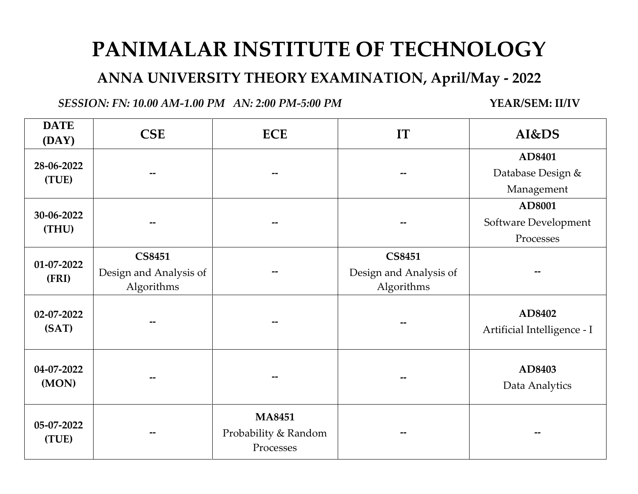## **PANIMALAR INSTITUTE OF TECHNOLOGY**

**ANNA UNIVERSITY THEORY EXAMINATION, April/May - 2022**

*SESSION: FN: 10.00 AM-1.00 PM AN: 2:00 PM-5:00 PM* **YEAR/SEM: II/IV**

| <b>DATE</b><br>(DAY) | <b>CSE</b>                                            | <b>ECE</b>                                         | IT                                                    | AI&DS                                       |
|----------------------|-------------------------------------------------------|----------------------------------------------------|-------------------------------------------------------|---------------------------------------------|
| 28-06-2022<br>(TUE)  |                                                       |                                                    |                                                       | AD8401<br>Database Design &<br>Management   |
| 30-06-2022<br>(THU)  |                                                       |                                                    |                                                       | AD8001<br>Software Development<br>Processes |
| 01-07-2022<br>(FRI)  | <b>CS8451</b><br>Design and Analysis of<br>Algorithms |                                                    | <b>CS8451</b><br>Design and Analysis of<br>Algorithms |                                             |
| 02-07-2022<br>(SAT)  |                                                       |                                                    |                                                       | AD8402<br>Artificial Intelligence - I       |
| 04-07-2022<br>(MON)  |                                                       |                                                    |                                                       | AD8403<br>Data Analytics                    |
| 05-07-2022<br>(TUE)  |                                                       | <b>MA8451</b><br>Probability & Random<br>Processes |                                                       |                                             |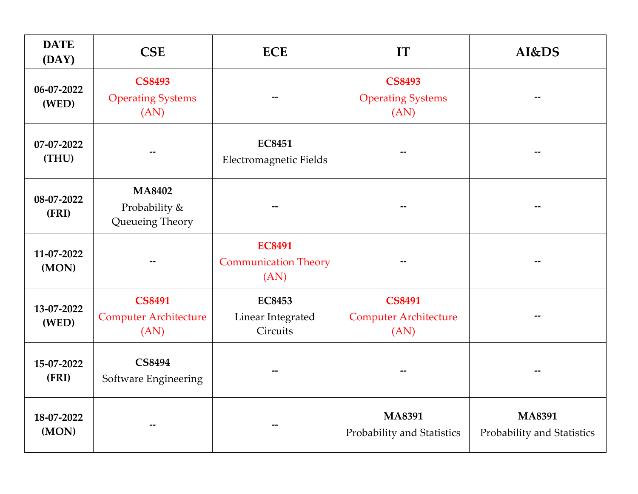| <b>DATE</b><br>(DAY) | <b>CSE</b>                                            | <b>ECE</b>                                           | IT                                                    | AI&DS                                       |
|----------------------|-------------------------------------------------------|------------------------------------------------------|-------------------------------------------------------|---------------------------------------------|
| 06-07-2022<br>(WED)  | <b>CS8493</b><br><b>Operating Systems</b><br>(AN)     | <b>CS8493</b><br><b>Operating Systems</b><br>(AN)    |                                                       |                                             |
| 07-07-2022<br>(THU)  |                                                       | <b>EC8451</b><br>Electromagnetic Fields              |                                                       |                                             |
| 08-07-2022<br>(FRI)  | <b>MA8402</b><br>Probability &<br>Queueing Theory     |                                                      |                                                       |                                             |
| 11-07-2022<br>(MON)  |                                                       | <b>EC8491</b><br><b>Communication Theory</b><br>(AN) |                                                       |                                             |
| 13-07-2022<br>(WED)  | <b>CS8491</b><br><b>Computer Architecture</b><br>(AN) | <b>EC8453</b><br>Linear Integrated<br>Circuits       | <b>CS8491</b><br><b>Computer Architecture</b><br>(AN) |                                             |
| 15-07-2022<br>(FRI)  | <b>CS8494</b><br>Software Engineering                 |                                                      |                                                       |                                             |
| 18-07-2022<br>(MON)  |                                                       |                                                      | <b>MA8391</b><br>Probability and Statistics           | <b>MA8391</b><br>Probability and Statistics |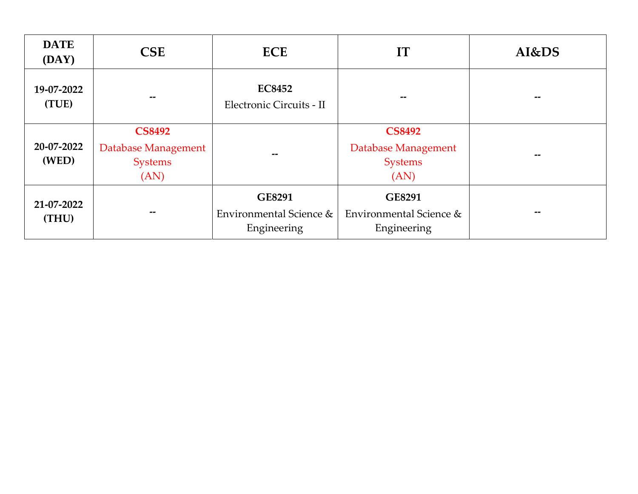| <b>DATE</b><br>(DAY) | <b>CSE</b>                                                     | <b>ECE</b>                                       | IT                                                             | AI&DS |
|----------------------|----------------------------------------------------------------|--------------------------------------------------|----------------------------------------------------------------|-------|
| 19-07-2022<br>(TUE)  | --                                                             | <b>EC8452</b><br>Electronic Circuits - II        | --                                                             |       |
| 20-07-2022<br>(WED)  | <b>CS8492</b><br>Database Management<br><b>Systems</b><br>(AN) |                                                  | <b>CS8492</b><br>Database Management<br><b>Systems</b><br>(AN) |       |
| 21-07-2022<br>(THU)  | $- -$                                                          | GE8291<br>Environmental Science &<br>Engineering | GE8291<br>Environmental Science &<br>Engineering               |       |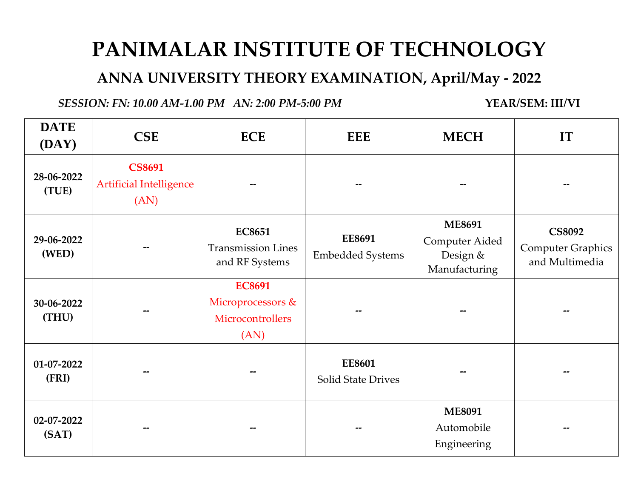## **PANIMALAR INSTITUTE OF TECHNOLOGY**

**ANNA UNIVERSITY THEORY EXAMINATION, April/May - 2022**

*SESSION: FN: 10.00 AM-1.00 PM AN: 2:00 PM-5:00 PM* **YEAR/SEM: III/VI**

| <b>DATE</b><br>(DAY) | <b>CSE</b>                                              | <b>ECE</b>                                                     | <b>EEE</b>                                 | <b>MECH</b>                                                  | IT                                                          |
|----------------------|---------------------------------------------------------|----------------------------------------------------------------|--------------------------------------------|--------------------------------------------------------------|-------------------------------------------------------------|
| 28-06-2022<br>(TUE)  | <b>CS8691</b><br><b>Artificial Intelligence</b><br>(AN) |                                                                |                                            |                                                              |                                                             |
| 29-06-2022<br>(WED)  | --                                                      | <b>EC8651</b><br><b>Transmission Lines</b><br>and RF Systems   | <b>EE8691</b><br><b>Embedded Systems</b>   | <b>ME8691</b><br>Computer Aided<br>Design &<br>Manufacturing | <b>CS8092</b><br><b>Computer Graphics</b><br>and Multimedia |
| 30-06-2022<br>(THU)  |                                                         | <b>EC8691</b><br>Microprocessors &<br>Microcontrollers<br>(AN) |                                            |                                                              |                                                             |
| 01-07-2022<br>(FRI)  |                                                         |                                                                | <b>EE8601</b><br><b>Solid State Drives</b> |                                                              |                                                             |
| 02-07-2022<br>(SAT)  |                                                         |                                                                |                                            | <b>ME8091</b><br>Automobile<br>Engineering                   |                                                             |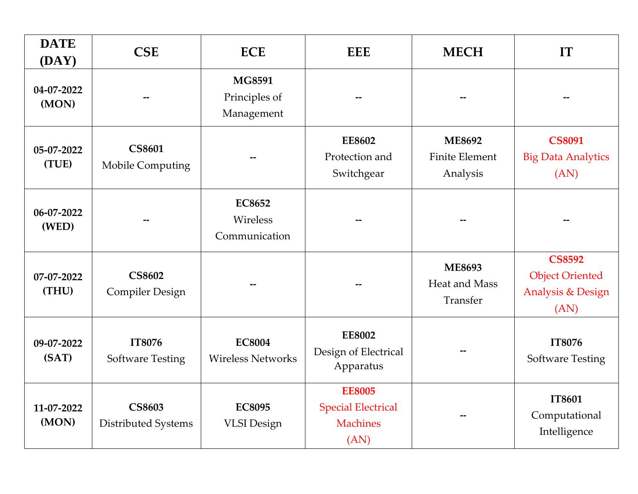| <b>DATE</b><br>(DAY) | <b>CSE</b>                              | <b>ECE</b>                                   | <b>EEE</b>                                                            | <b>MECH</b>                                        | IT                                                                              |
|----------------------|-----------------------------------------|----------------------------------------------|-----------------------------------------------------------------------|----------------------------------------------------|---------------------------------------------------------------------------------|
| 04-07-2022<br>(MON)  |                                         | <b>MG8591</b><br>Principles of<br>Management |                                                                       |                                                    |                                                                                 |
| 05-07-2022<br>(TUE)  | <b>CS8601</b><br>Mobile Computing       |                                              | <b>EE8602</b><br>Protection and<br>Switchgear                         | <b>ME8692</b><br><b>Finite Element</b><br>Analysis | <b>CS8091</b><br><b>Big Data Analytics</b><br>(AN)                              |
| 06-07-2022<br>(WED)  |                                         | <b>EC8652</b><br>Wireless<br>Communication   |                                                                       |                                                    |                                                                                 |
| 07-07-2022<br>(THU)  | <b>CS8602</b><br><b>Compiler Design</b> |                                              |                                                                       | <b>ME8693</b><br>Heat and Mass<br>Transfer         | <b>CS8592</b><br><b>Object Oriented</b><br><b>Analysis &amp; Design</b><br>(AN) |
| 09-07-2022<br>(SAT)  | IT8076<br><b>Software Testing</b>       | <b>EC8004</b><br><b>Wireless Networks</b>    | <b>EE8002</b><br>Design of Electrical<br>Apparatus                    |                                                    | IT8076<br><b>Software Testing</b>                                               |
| 11-07-2022<br>(MON)  | <b>CS8603</b><br>Distributed Systems    | <b>EC8095</b><br><b>VLSI</b> Design          | <b>EE8005</b><br><b>Special Electrical</b><br><b>Machines</b><br>(AN) |                                                    | IT8601<br>Computational<br>Intelligence                                         |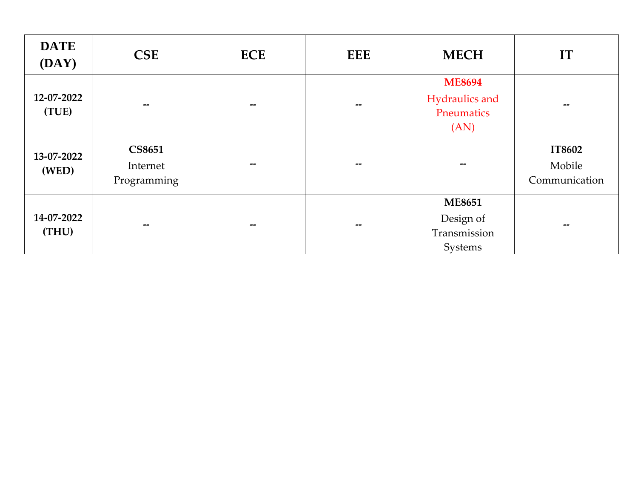| <b>DATE</b><br>(DAY) | <b>CSE</b>                               | <b>ECE</b>               | <b>EEE</b> | <b>MECH</b>                                           | IT                                       |
|----------------------|------------------------------------------|--------------------------|------------|-------------------------------------------------------|------------------------------------------|
| 12-07-2022<br>(TUE)  | $\overline{\phantom{m}}$                 | $-$                      | --         | <b>ME8694</b><br>Hydraulics and<br>Pneumatics<br>(AN) | --                                       |
| 13-07-2022<br>(WED)  | <b>CS8651</b><br>Internet<br>Programming | $- -$                    | --         |                                                       | <b>IT8602</b><br>Mobile<br>Communication |
| 14-07-2022<br>(THU)  | $\overline{\phantom{m}}$                 | $\overline{\phantom{m}}$ | --         | <b>ME8651</b><br>Design of<br>Transmission<br>Systems | $\overline{\phantom{m}}$                 |